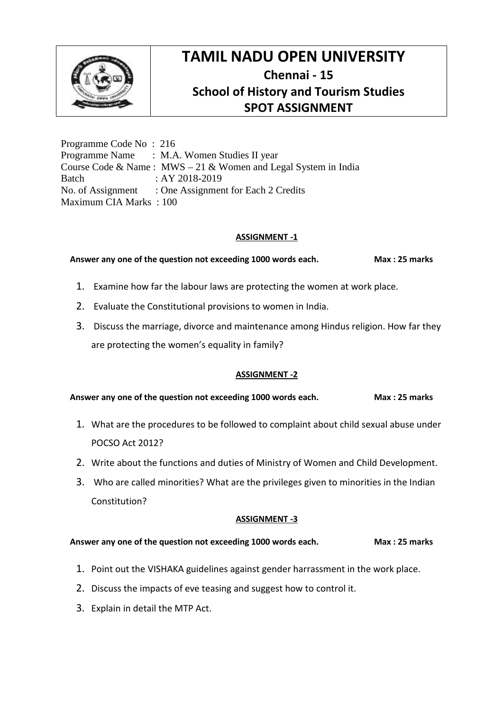

Programme Code No : 216 Programme Name : M.A. Women Studies II year Course Code & Name : MWS – 21 & Women and Legal System in India Batch : AY 2018-2019 No. of Assignment : One Assignment for Each 2 Credits Maximum CIA Marks : 100

## **ASSIGNMENT -1**

**Answer any one of the question not exceeding 1000 words each. Max : 25 marks**

- 1. Examine how far the labour laws are protecting the women at work place.
- 2. Evaluate the Constitutional provisions to women in India.
- 3. Discuss the marriage, divorce and maintenance among Hindus religion. How far they are protecting the women's equality in family?

## **ASSIGNMENT -2**

Answer any one of the question not exceeding 1000 words each. **Max : 25 marks** 

- 1. What are the procedures to be followed to complaint about child sexual abuse under POCSO Act 2012?
- 2. Write about the functions and duties of Ministry of Women and Child Development.
- 3. Who are called minorities? What are the privileges given to minorities in the Indian Constitution?

#### **ASSIGNMENT -3**

- 1. Point out the VISHAKA guidelines against gender harrassment in the work place.
- 2. Discuss the impacts of eve teasing and suggest how to control it.
- 3. Explain in detail the MTP Act.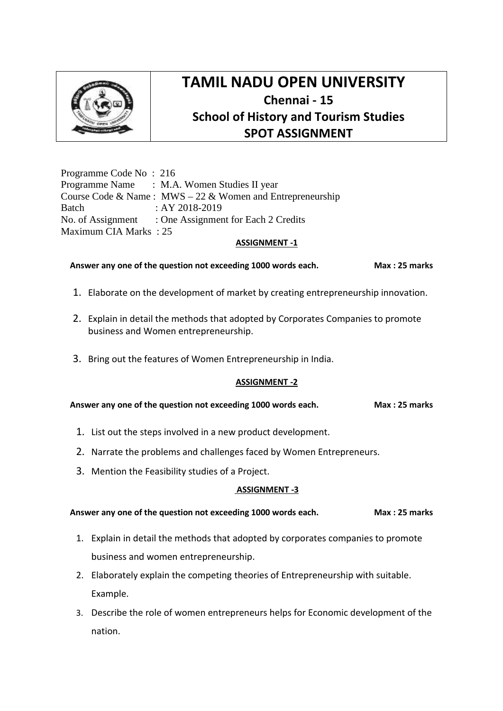

Programme Code No : 216 Programme Name : M.A. Women Studies II year Course Code & Name : MWS – 22 & Women and Entrepreneurship Batch : AY 2018-2019 No. of Assignment : One Assignment for Each 2 Credits Maximum CIA Marks : 25

### **ASSIGNMENT -1**

**Answer any one of the question not exceeding 1000 words each. Max : 25 marks**

- 1. Elaborate on the development of market by creating entrepreneurship innovation.
- 2. Explain in detail the methods that adopted by Corporates Companies to promote business and Women entrepreneurship.
- 3. Bring out the features of Women Entrepreneurship in India.

## **ASSIGNMENT -2**

**Answer any one of the question not exceeding 1000 words each. Max : 25 marks**

- 1. List out the steps involved in a new product development.
- 2. Narrate the problems and challenges faced by Women Entrepreneurs.
- 3. Mention the Feasibility studies of a Project.

## **ASSIGNMENT -3**

- 1. Explain in detail the methods that adopted by corporates companies to promote business and women entrepreneurship.
- 2. Elaborately explain the competing theories of Entrepreneurship with suitable. Example.
- 3. Describe the role of women entrepreneurs helps for Economic development of the nation.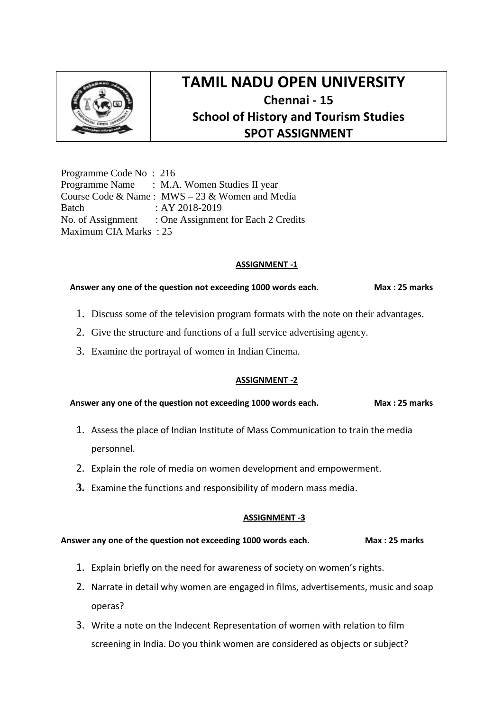

Programme Code No : 216 Programme Name : M.A. Women Studies II year Course Code & Name : MWS – 23 & Women and Media Batch : AY 2018-2019 No. of Assignment : One Assignment for Each 2 Credits Maximum CIA Marks : 25

## **ASSIGNMENT -1**

## Answer any one of the question not exceeding 1000 words each. Max: 25 marks

- 1. Discuss some of the television program formats with the note on their advantages.
- 2. Give the structure and functions of a full service advertising agency.
- 3. Examine the portrayal of women in Indian Cinema.

## **ASSIGNMENT -2**

Answer any one of the question not exceeding 1000 words each. Max: 25 marks

- 1. Assess the place of Indian Institute of Mass Communication to train the media personnel.
- 2. Explain the role of media on women development and empowerment.
- **3.** Examine the functions and responsibility of modern mass media.

## **ASSIGNMENT -3**

- 1. Explain briefly on the need for awareness of society on women's rights.
- 2. Narrate in detail why women are engaged in films, advertisements, music and soap operas?
- 3. Write a note on the Indecent Representation of women with relation to film screening in India. Do you think women are considered as objects or subject?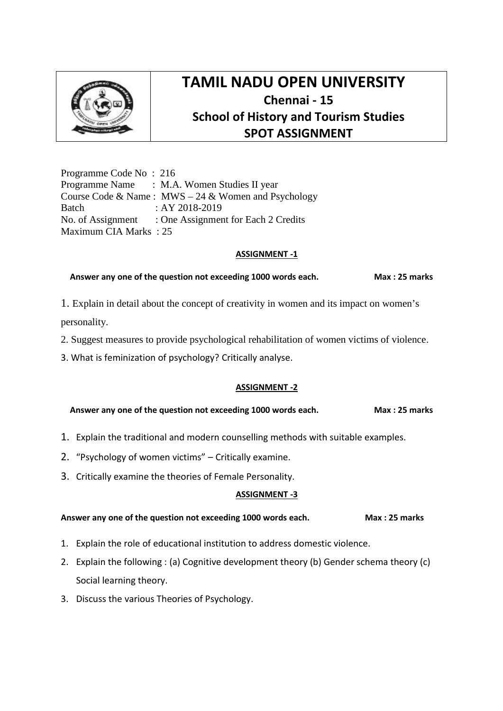

Programme Code No : 216 Programme Name : M.A. Women Studies II year Course Code & Name :  $MWS - 24$  & Women and Psychology Batch : AY 2018-2019 No. of Assignment : One Assignment for Each 2 Credits Maximum CIA Marks : 25

### **ASSIGNMENT -1**

### **Answer any one of the question not exceeding 1000 words each. Max : 25 marks**

- 1. Explain in detail about the concept of creativity in women and its impact on women's personality.
- 2. Suggest measures to provide psychological rehabilitation of women victims of violence.
- 3. What is feminization of psychology? Critically analyse.

## **ASSIGNMENT -2**

#### **Answer any one of the question not exceeding 1000 words each. Max : 25 marks**

- 1. Explain the traditional and modern counselling methods with suitable examples.
- 2. "Psychology of women victims" Critically examine.
- 3. Critically examine the theories of Female Personality.

## **ASSIGNMENT -3**

- 1. Explain the role of educational institution to address domestic violence.
- 2. Explain the following : (a) Cognitive development theory (b) Gender schema theory (c) Social learning theory.
- 3. Discuss the various Theories of Psychology.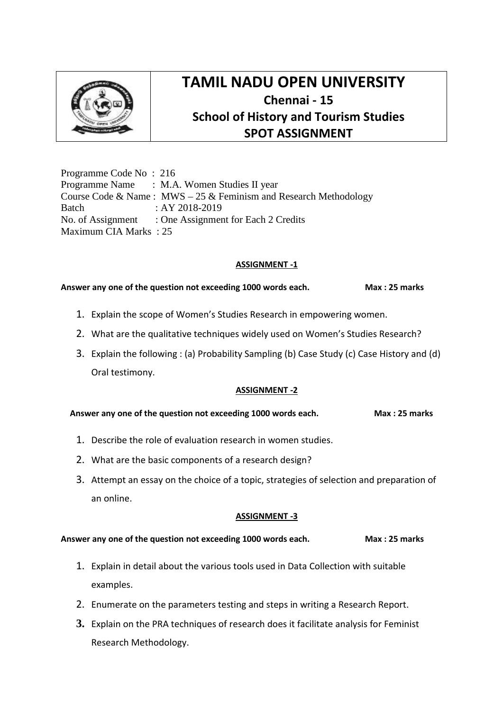

Programme Code No : 216 Programme Name : M.A. Women Studies II year Course Code & Name: MWS – 25 & Feminism and Research Methodology Batch : AY 2018-2019 No. of Assignment : One Assignment for Each 2 Credits Maximum CIA Marks : 25

## **ASSIGNMENT -1**

## Answer any one of the question not exceeding 1000 words each. Max: 25 marks

- 1. Explain the scope of Women's Studies Research in empowering women.
- 2. What are the qualitative techniques widely used on Women's Studies Research?
- 3. Explain the following : (a) Probability Sampling (b) Case Study (c) Case History and (d) Oral testimony.

## **ASSIGNMENT -2**

**Answer any one of the question not exceeding 1000 words each. Max : 25 marks**

- 1. Describe the role of evaluation research in women studies.
- 2. What are the basic components of a research design?
- 3. Attempt an essay on the choice of a topic, strategies of selection and preparation of an online.

## **ASSIGNMENT -3**

- 1. Explain in detail about the various tools used in Data Collection with suitable examples.
- 2. Enumerate on the parameters testing and steps in writing a Research Report.
- **3.** Explain on the PRA techniques of research does it facilitate analysis for Feminist Research Methodology.